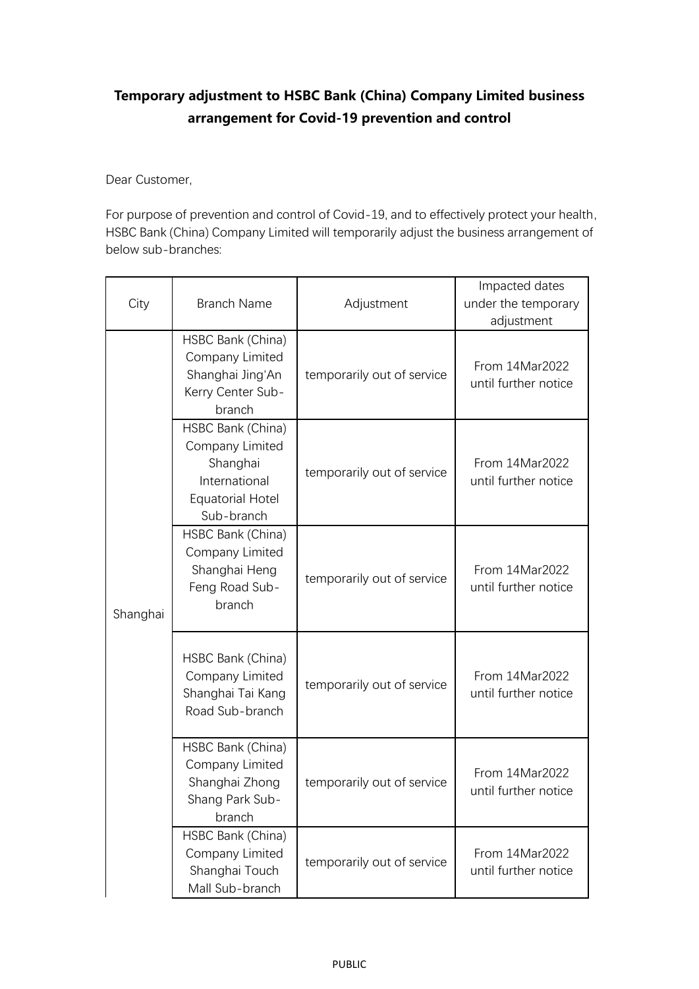## **Temporary adjustment to HSBC Bank (China) Company Limited business arrangement for Covid-19 prevention and control**

Dear Customer,

For purpose of prevention and control of Covid-19, and to effectively protect your health, HSBC Bank (China) Company Limited will temporarily adjust the business arrangement of below sub-branches:

| City     | <b>Branch Name</b>                                                                                         | Adjustment                 | Impacted dates<br>under the temporary<br>adjustment |
|----------|------------------------------------------------------------------------------------------------------------|----------------------------|-----------------------------------------------------|
| Shanghai | HSBC Bank (China)<br>Company Limited<br>Shanghai Jing'An<br>Kerry Center Sub-<br>branch                    | temporarily out of service | From 14Mar2022<br>until further notice              |
|          | HSBC Bank (China)<br>Company Limited<br>Shanghai<br>International<br><b>Equatorial Hotel</b><br>Sub-branch | temporarily out of service | From 14Mar2022<br>until further notice              |
|          | HSBC Bank (China)<br>Company Limited<br>Shanghai Heng<br>Feng Road Sub-<br>branch                          | temporarily out of service | From 14Mar2022<br>until further notice              |
|          | HSBC Bank (China)<br>Company Limited<br>Shanghai Tai Kang<br>Road Sub-branch                               | temporarily out of service | From 14Mar2022<br>until further notice              |
|          | HSBC Bank (China)<br>Company Limited<br>Shanghai Zhong<br>Shang Park Sub-<br>branch                        | temporarily out of service | From 14Mar2022<br>until further notice              |
|          | HSBC Bank (China)<br>Company Limited<br>Shanghai Touch<br>Mall Sub-branch                                  | temporarily out of service | From 14Mar2022<br>until further notice              |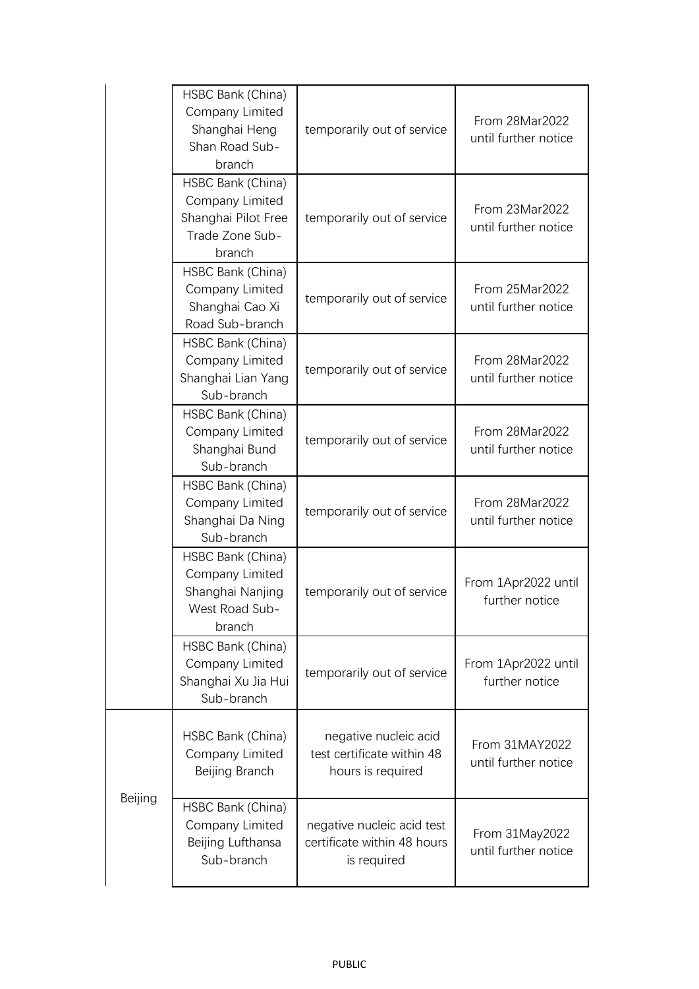|         | HSBC Bank (China)<br>Company Limited<br>Shanghai Heng<br>Shan Road Sub-<br>branch        | temporarily out of service                                               | From 28Mar2022<br>until further notice |
|---------|------------------------------------------------------------------------------------------|--------------------------------------------------------------------------|----------------------------------------|
|         | HSBC Bank (China)<br>Company Limited<br>Shanghai Pilot Free<br>Trade Zone Sub-<br>branch | temporarily out of service                                               | From 23Mar2022<br>until further notice |
|         | HSBC Bank (China)<br>Company Limited<br>Shanghai Cao Xi<br>Road Sub-branch               | temporarily out of service                                               | From 25Mar2022<br>until further notice |
|         | HSBC Bank (China)<br>Company Limited<br>Shanghai Lian Yang<br>Sub-branch                 | temporarily out of service                                               | From 28Mar2022<br>until further notice |
|         | HSBC Bank (China)<br>Company Limited<br>Shanghai Bund<br>Sub-branch                      | temporarily out of service                                               | From 28Mar2022<br>until further notice |
|         | HSBC Bank (China)<br>Company Limited<br>Shanghai Da Ning<br>Sub-branch                   | temporarily out of service                                               | From 28Mar2022<br>until further notice |
|         | HSBC Bank (China)<br>Company Limited<br>Shanghai Nanjing<br>West Road Sub-<br>branch     | temporarily out of service                                               | From 1Apr2022 until<br>further notice  |
|         | HSBC Bank (China)<br>Company Limited<br>Shanghai Xu Jia Hui<br>Sub-branch                | temporarily out of service                                               | From 1Apr2022 until<br>further notice  |
| Beijing | HSBC Bank (China)<br>Company Limited<br>Beijing Branch                                   | negative nucleic acid<br>test certificate within 48<br>hours is required | From 31MAY2022<br>until further notice |
|         | HSBC Bank (China)<br>Company Limited<br>Beijing Lufthansa<br>Sub-branch                  | negative nucleic acid test<br>certificate within 48 hours<br>is required | From 31May2022<br>until further notice |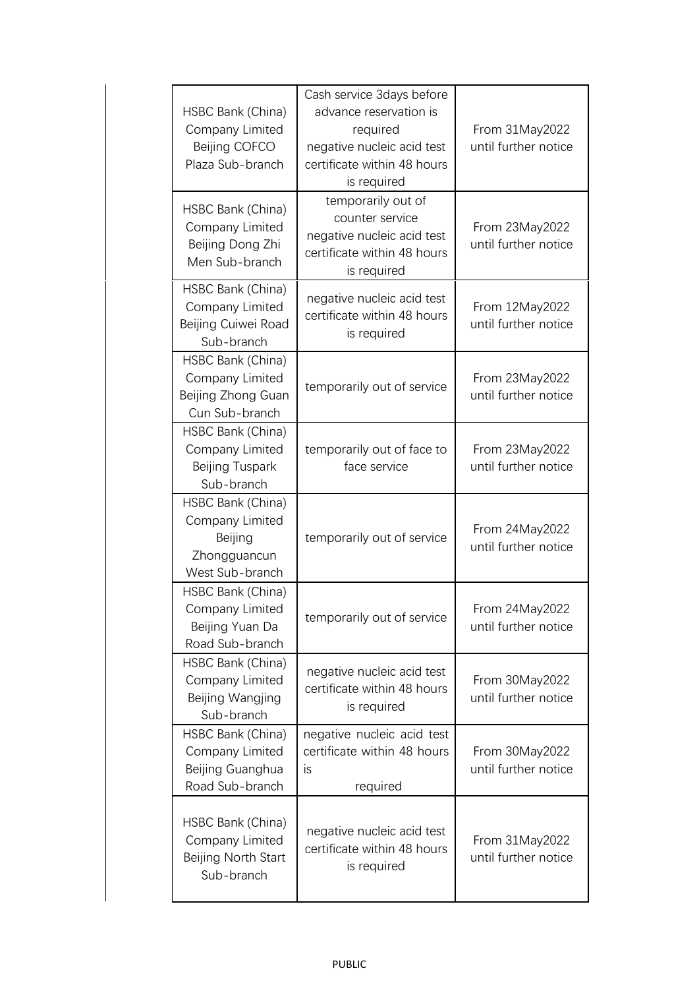| HSBC Bank (China)<br>Company Limited<br>Beijing COFCO<br>Plaza Sub-branch          | Cash service 3days before<br>advance reservation is<br>required<br>negative nucleic acid test<br>certificate within 48 hours<br>is required | From 31May2022<br>until further notice |
|------------------------------------------------------------------------------------|---------------------------------------------------------------------------------------------------------------------------------------------|----------------------------------------|
| HSBC Bank (China)<br>Company Limited<br>Beijing Dong Zhi<br>Men Sub-branch         | temporarily out of<br>counter service<br>negative nucleic acid test<br>certificate within 48 hours<br>is required                           | From 23May2022<br>until further notice |
| HSBC Bank (China)<br>Company Limited<br>Beijing Cuiwei Road<br>Sub-branch          | negative nucleic acid test<br>certificate within 48 hours<br>is required                                                                    | From 12May2022<br>until further notice |
| HSBC Bank (China)<br>Company Limited<br>Beijing Zhong Guan<br>Cun Sub-branch       | temporarily out of service                                                                                                                  | From 23May2022<br>until further notice |
| HSBC Bank (China)<br>Company Limited<br>Beijing Tuspark<br>Sub-branch              | temporarily out of face to<br>face service                                                                                                  | From 23May2022<br>until further notice |
| HSBC Bank (China)<br>Company Limited<br>Beijing<br>Zhongguancun<br>West Sub-branch | temporarily out of service                                                                                                                  | From 24May2022<br>until further notice |
| HSBC Bank (China)<br>Company Limited<br>Beijing Yuan Da<br>Road Sub-branch         | temporarily out of service                                                                                                                  | From 24May2022<br>until further notice |
| HSBC Bank (China)<br>Company Limited<br>Beijing Wangjing<br>Sub-branch             | negative nucleic acid test<br>certificate within 48 hours<br>is required                                                                    | From 30May2022<br>until further notice |
| HSBC Bank (China)<br>Company Limited<br>Beijing Guanghua<br>Road Sub-branch        | negative nucleic acid test<br>certificate within 48 hours<br>is<br>required                                                                 | From 30May2022<br>until further notice |
| HSBC Bank (China)<br>Company Limited<br>Beijing North Start<br>Sub-branch          | negative nucleic acid test<br>certificate within 48 hours<br>is required                                                                    | From 31May2022<br>until further notice |